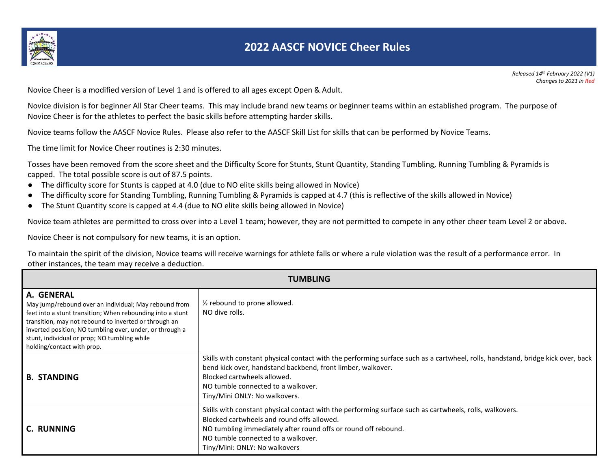

Novice Cheer is a modified version of Level 1 and is offered to all ages except Open & Adult.

Novice division is for beginner All Star Cheer teams. This may include brand new teams or beginner teams within an established program. The purpose of Novice Cheer is for the athletes to perfect the basic skills before attempting harder skills.

Novice teams follow the AASCF Novice Rules. Please also refer to the AASCF Skill List for skills that can be performed by Novice Teams.

The time limit for Novice Cheer routines is 2:30 minutes.

Tosses have been removed from the score sheet and the Difficulty Score for Stunts, Stunt Quantity, Standing Tumbling, Running Tumbling & Pyramids is capped. The total possible score is out of 87.5 points.

- The difficulty score for Stunts is capped at 4.0 (due to NO elite skills being allowed in Novice)
- The difficulty score for Standing Tumbling, Running Tumbling & Pyramids is capped at 4.7 (this is reflective of the skills allowed in Novice)
- The Stunt Quantity score is capped at 4.4 (due to NO elite skills being allowed in Novice)

Novice team athletes are permitted to cross over into a Level 1 team; however, they are not permitted to compete in any other cheer team Level 2 or above.

Novice Cheer is not compulsory for new teams, it is an option.

To maintain the spirit of the division, Novice teams will receive warnings for athlete falls or where a rule violation was the result of a performance error. In other instances, the team may receive a deduction.

| TUMBLING                                                                                                                                                                                                                                                                                                                             |                                                                                                                                                                                                                                                                                                      |  |
|--------------------------------------------------------------------------------------------------------------------------------------------------------------------------------------------------------------------------------------------------------------------------------------------------------------------------------------|------------------------------------------------------------------------------------------------------------------------------------------------------------------------------------------------------------------------------------------------------------------------------------------------------|--|
| A. GENERAL<br>May jump/rebound over an individual; May rebound from<br>feet into a stunt transition; When rebounding into a stunt<br>transition, may not rebound to inverted or through an<br>inverted position; NO tumbling over, under, or through a<br>stunt, individual or prop; NO tumbling while<br>holding/contact with prop. | 1/ <sub>2</sub> rebound to prone allowed.<br>NO dive rolls.                                                                                                                                                                                                                                          |  |
| <b>B. STANDING</b>                                                                                                                                                                                                                                                                                                                   | Skills with constant physical contact with the performing surface such as a cartwheel, rolls, handstand, bridge kick over, back<br>bend kick over, handstand backbend, front limber, walkover.<br>Blocked cartwheels allowed.<br>NO tumble connected to a walkover.<br>Tiny/Mini ONLY: No walkovers. |  |
| C. RUNNING                                                                                                                                                                                                                                                                                                                           | Skills with constant physical contact with the performing surface such as cartwheels, rolls, walkovers.<br>Blocked cartwheels and round offs allowed.<br>NO tumbling immediately after round offs or round off rebound.<br>NO tumble connected to a walkover.<br>Tiny/Mini: ONLY: No walkovers       |  |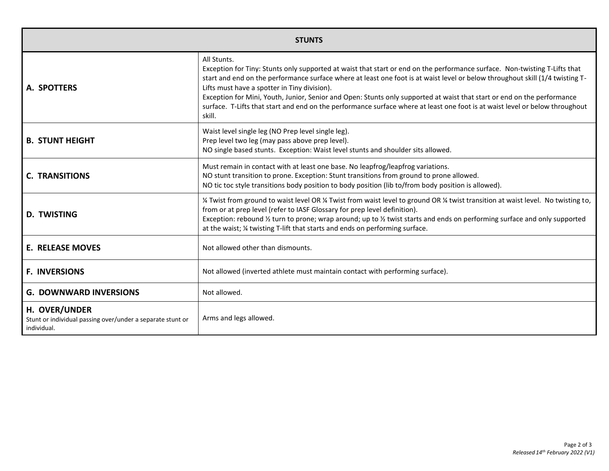| <b>STUNTS</b>                                                                              |                                                                                                                                                                                                                                                                                                                                                                                                                                                                                                                                                                                                 |
|--------------------------------------------------------------------------------------------|-------------------------------------------------------------------------------------------------------------------------------------------------------------------------------------------------------------------------------------------------------------------------------------------------------------------------------------------------------------------------------------------------------------------------------------------------------------------------------------------------------------------------------------------------------------------------------------------------|
| A. SPOTTERS                                                                                | All Stunts.<br>Exception for Tiny: Stunts only supported at waist that start or end on the performance surface. Non-twisting T-Lifts that<br>start and end on the performance surface where at least one foot is at waist level or below throughout skill (1/4 twisting T-<br>Lifts must have a spotter in Tiny division).<br>Exception for Mini, Youth, Junior, Senior and Open: Stunts only supported at waist that start or end on the performance<br>surface. T-Lifts that start and end on the performance surface where at least one foot is at waist level or below throughout<br>skill. |
| <b>B. STUNT HEIGHT</b>                                                                     | Waist level single leg (NO Prep level single leg).<br>Prep level two leg (may pass above prep level).<br>NO single based stunts. Exception: Waist level stunts and shoulder sits allowed.                                                                                                                                                                                                                                                                                                                                                                                                       |
| <b>C. TRANSITIONS</b>                                                                      | Must remain in contact with at least one base. No leapfrog/leapfrog variations.<br>NO stunt transition to prone. Exception: Stunt transitions from ground to prone allowed.<br>NO tic toc style transitions body position to body position (lib to/from body position is allowed).                                                                                                                                                                                                                                                                                                              |
| <b>D. TWISTING</b>                                                                         | 14 Twist from ground to waist level OR 14 Twist from waist level to ground OR 14 twist transition at waist level. No twisting to,<br>from or at prep level (refer to IASF Glossary for prep level definition).<br>Exception: rebound 1/2 turn to prone; wrap around; up to 1/2 twist starts and ends on performing surface and only supported<br>at the waist; % twisting T-lift that starts and ends on performing surface.                                                                                                                                                                    |
| <b>E. RELEASE MOVES</b>                                                                    | Not allowed other than dismounts.                                                                                                                                                                                                                                                                                                                                                                                                                                                                                                                                                               |
| <b>F. INVERSIONS</b>                                                                       | Not allowed (inverted athlete must maintain contact with performing surface).                                                                                                                                                                                                                                                                                                                                                                                                                                                                                                                   |
| <b>G. DOWNWARD INVERSIONS</b>                                                              | Not allowed.                                                                                                                                                                                                                                                                                                                                                                                                                                                                                                                                                                                    |
| H. OVER/UNDER<br>Stunt or individual passing over/under a separate stunt or<br>individual. | Arms and legs allowed.                                                                                                                                                                                                                                                                                                                                                                                                                                                                                                                                                                          |